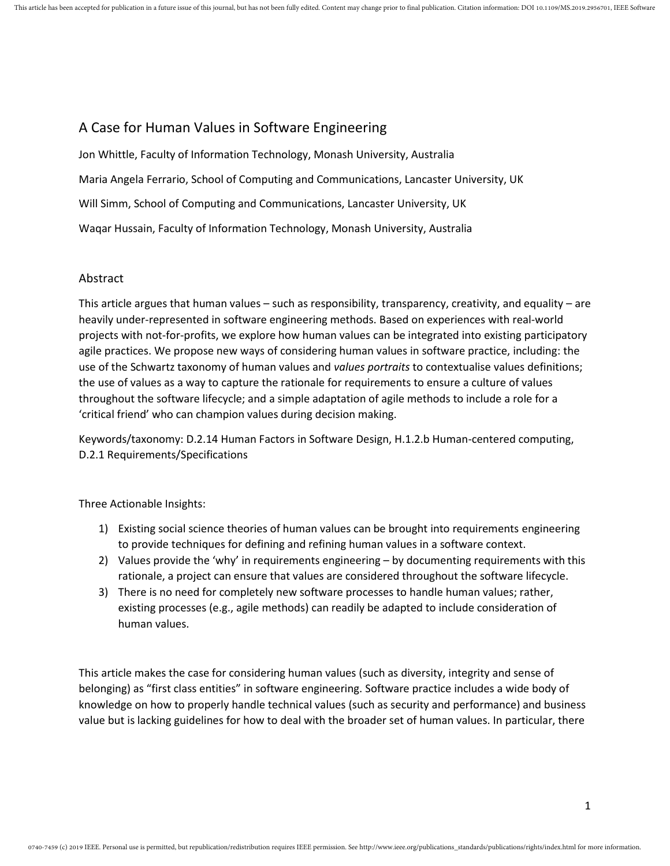# A Case for Human Values in Software Engineering

Jon Whittle, Faculty of Information Technology, Monash University, Australia Maria Angela Ferrario, School of Computing and Communications, Lancaster University, UK Will Simm, School of Computing and Communications, Lancaster University, UK Waqar Hussain, Faculty of Information Technology, Monash University, Australia

# Abstract

This article argues that human values – such as responsibility, transparency, creativity, and equality – are heavily under-represented in software engineering methods. Based on experiences with real-world projects with not-for-profits, we explore how human values can be integrated into existing participatory agile practices. We propose new ways of considering human values in software practice, including: the use of the Schwartz taxonomy of human values and *values portraits* to contextualise values definitions; the use of values as a way to capture the rationale for requirements to ensure a culture of values throughout the software lifecycle; and a simple adaptation of agile methods to include a role for a 'critical friend' who can champion values during decision making.

Keywords/taxonomy: D.2.14 Human Factors in Software Design, H.1.2.b Human-centered computing, D.2.1 Requirements/Specifications

Three Actionable Insights:

- 1) Existing social science theories of human values can be brought into requirements engineering to provide techniques for defining and refining human values in a software context.
- 2) Values provide the 'why' in requirements engineering by documenting requirements with this rationale, a project can ensure that values are considered throughout the software lifecycle.
- 3) There is no need for completely new software processes to handle human values; rather, existing processes (e.g., agile methods) can readily be adapted to include consideration of human values.

This article makes the case for considering human values (such as diversity, integrity and sense of belonging) as "first class entities" in software engineering. Software practice includes a wide body of knowledge on how to properly handle technical values (such as security and performance) and business value but is lacking guidelines for how to deal with the broader set of human values. In particular, there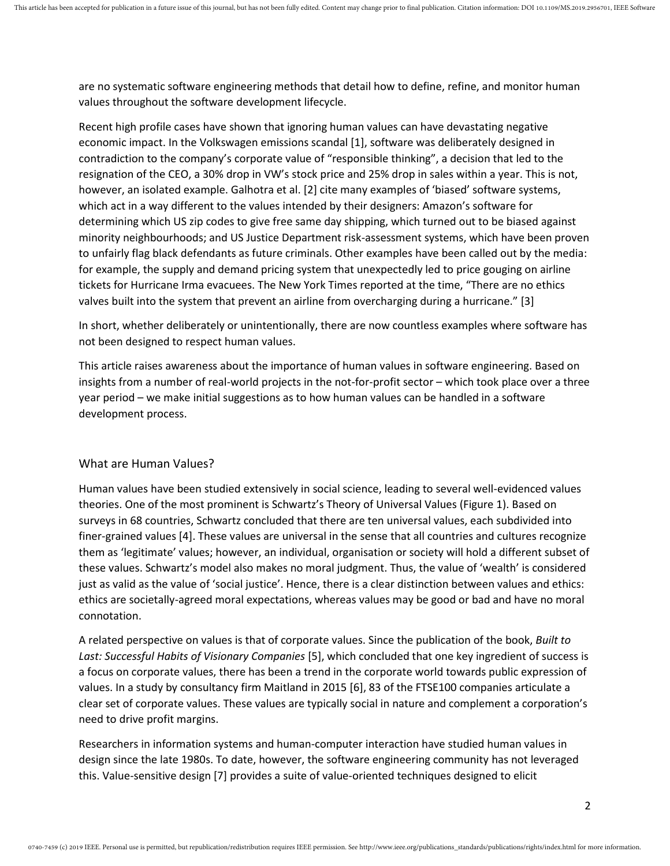are no systematic software engineering methods that detail how to define, refine, and monitor human values throughout the software development lifecycle.

Recent high profile cases have shown that ignoring human values can have devastating negative economic impact. In the Volkswagen emissions scandal [1], software was deliberately designed in contradiction to the company's corporate value of "responsible thinking", a decision that led to the resignation of the CEO, a 30% drop in VW's stock price and 25% drop in sales within a year. This is not, however, an isolated example. Galhotra et al. [2] cite many examples of 'biased' software systems, which act in a way different to the values intended by their designers: Amazon's software for determining which US zip codes to give free same day shipping, which turned out to be biased against minority neighbourhoods; and US Justice Department risk-assessment systems, which have been proven to unfairly flag black defendants as future criminals. Other examples have been called out by the media: for example, the supply and demand pricing system that unexpectedly led to price gouging on airline tickets for Hurricane Irma evacuees. The New York Times reported at the time, "There are no ethics valves built into the system that prevent an airline from overcharging during a hurricane." [3]

In short, whether deliberately or unintentionally, there are now countless examples where software has not been designed to respect human values.

This article raises awareness about the importance of human values in software engineering. Based on insights from a number of real-world projects in the not-for-profit sector – which took place over a three year period – we make initial suggestions as to how human values can be handled in a software development process.

# What are Human Values?

Human values have been studied extensively in social science, leading to several well-evidenced values theories. One of the most prominent is Schwartz's Theory of Universal Values (Figure 1). Based on surveys in 68 countries, Schwartz concluded that there are ten universal values, each subdivided into finer-grained values [4]. These values are universal in the sense that all countries and cultures recognize them as 'legitimate' values; however, an individual, organisation or society will hold a different subset of these values. Schwartz's model also makes no moral judgment. Thus, the value of 'wealth' is considered just as valid as the value of 'social justice'. Hence, there is a clear distinction between values and ethics: ethics are societally-agreed moral expectations, whereas values may be good or bad and have no moral connotation.

A related perspective on values is that of corporate values. Since the publication of the book, *Built to Last: Successful Habits of Visionary Companies* [5], which concluded that one key ingredient of success is a focus on corporate values, there has been a trend in the corporate world towards public expression of values. In a study by consultancy firm Maitland in 2015 [6], 83 of the FTSE100 companies articulate a clear set of corporate values. These values are typically social in nature and complement a corporation's need to drive profit margins.

Researchers in information systems and human-computer interaction have studied human values in design since the late 1980s. To date, however, the software engineering community has not leveraged this. Value-sensitive design [7] provides a suite of value-oriented techniques designed to elicit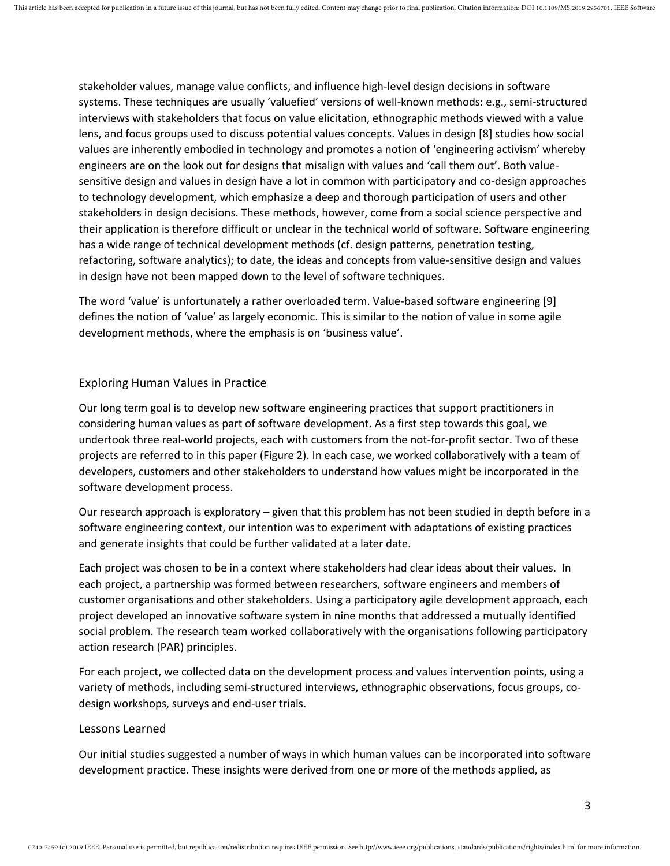stakeholder values, manage value conflicts, and influence high-level design decisions in software systems. These techniques are usually 'valuefied' versions of well-known methods: e.g., semi-structured interviews with stakeholders that focus on value elicitation, ethnographic methods viewed with a value lens, and focus groups used to discuss potential values concepts. Values in design [8] studies how social values are inherently embodied in technology and promotes a notion of 'engineering activism' whereby engineers are on the look out for designs that misalign with values and 'call them out'. Both valuesensitive design and values in design have a lot in common with participatory and co-design approaches to technology development, which emphasize a deep and thorough participation of users and other stakeholders in design decisions. These methods, however, come from a social science perspective and their application is therefore difficult or unclear in the technical world of software. Software engineering has a wide range of technical development methods (cf. design patterns, penetration testing, refactoring, software analytics); to date, the ideas and concepts from value-sensitive design and values in design have not been mapped down to the level of software techniques.

The word 'value' is unfortunately a rather overloaded term. Value-based software engineering [9] defines the notion of 'value' as largely economic. This is similar to the notion of value in some agile development methods, where the emphasis is on 'business value'.

#### Exploring Human Values in Practice

Our long term goal is to develop new software engineering practices that support practitioners in considering human values as part of software development. As a first step towards this goal, we undertook three real-world projects, each with customers from the not-for-profit sector. Two of these projects are referred to in this paper (Figure 2). In each case, we worked collaboratively with a team of developers, customers and other stakeholders to understand how values might be incorporated in the software development process.

Our research approach is exploratory – given that this problem has not been studied in depth before in a software engineering context, our intention was to experiment with adaptations of existing practices and generate insights that could be further validated at a later date.

Each project was chosen to be in a context where stakeholders had clear ideas about their values. In each project, a partnership was formed between researchers, software engineers and members of customer organisations and other stakeholders. Using a participatory agile development approach, each project developed an innovative software system in nine months that addressed a mutually identified social problem. The research team worked collaboratively with the organisations following participatory action research (PAR) principles.

For each project, we collected data on the development process and values intervention points, using a variety of methods, including semi-structured interviews, ethnographic observations, focus groups, codesign workshops, surveys and end-user trials.

#### Lessons Learned

Our initial studies suggested a number of ways in which human values can be incorporated into software development practice. These insights were derived from one or more of the methods applied, as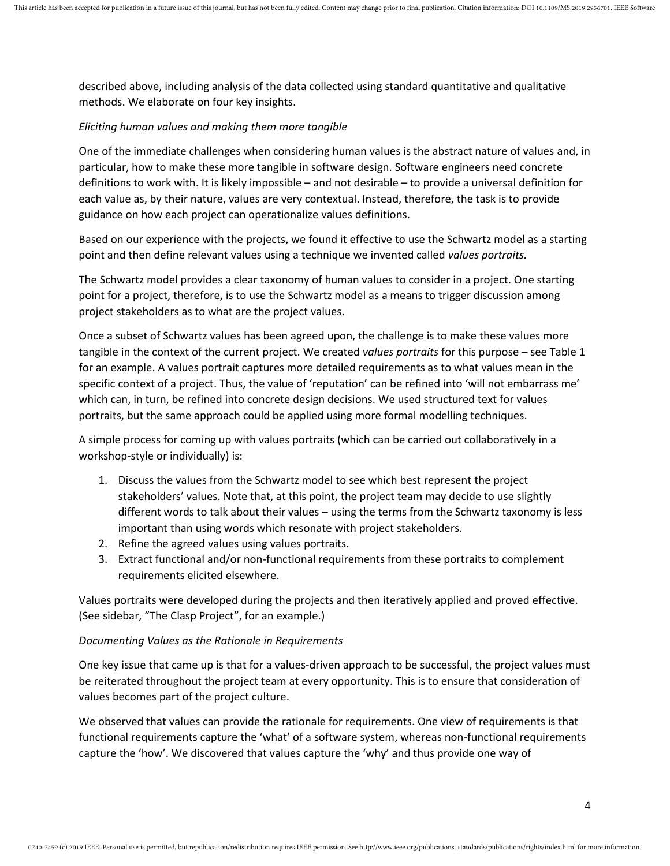described above, including analysis of the data collected using standard quantitative and qualitative methods. We elaborate on four key insights.

#### *Eliciting human values and making them more tangible*

One of the immediate challenges when considering human values is the abstract nature of values and, in particular, how to make these more tangible in software design. Software engineers need concrete definitions to work with. It is likely impossible – and not desirable – to provide a universal definition for each value as, by their nature, values are very contextual. Instead, therefore, the task is to provide guidance on how each project can operationalize values definitions.

Based on our experience with the projects, we found it effective to use the Schwartz model as a starting point and then define relevant values using a technique we invented called *values portraits.*

The Schwartz model provides a clear taxonomy of human values to consider in a project. One starting point for a project, therefore, is to use the Schwartz model as a means to trigger discussion among project stakeholders as to what are the project values.

Once a subset of Schwartz values has been agreed upon, the challenge is to make these values more tangible in the context of the current project. We created *values portraits* for this purpose – see Table 1 for an example. A values portrait captures more detailed requirements as to what values mean in the specific context of a project. Thus, the value of 'reputation' can be refined into 'will not embarrass me' which can, in turn, be refined into concrete design decisions. We used structured text for values portraits, but the same approach could be applied using more formal modelling techniques.

A simple process for coming up with values portraits (which can be carried out collaboratively in a workshop-style or individually) is:

- 1. Discuss the values from the Schwartz model to see which best represent the project stakeholders' values. Note that, at this point, the project team may decide to use slightly different words to talk about their values – using the terms from the Schwartz taxonomy is less important than using words which resonate with project stakeholders.
- 2. Refine the agreed values using values portraits.
- 3. Extract functional and/or non-functional requirements from these portraits to complement requirements elicited elsewhere.

Values portraits were developed during the projects and then iteratively applied and proved effective. (See sidebar, "The Clasp Project", for an example.)

#### *Documenting Values as the Rationale in Requirements*

One key issue that came up is that for a values-driven approach to be successful, the project values must be reiterated throughout the project team at every opportunity. This is to ensure that consideration of values becomes part of the project culture.

We observed that values can provide the rationale for requirements. One view of requirements is that functional requirements capture the 'what' of a software system, whereas non-functional requirements capture the 'how'. We discovered that values capture the 'why' and thus provide one way of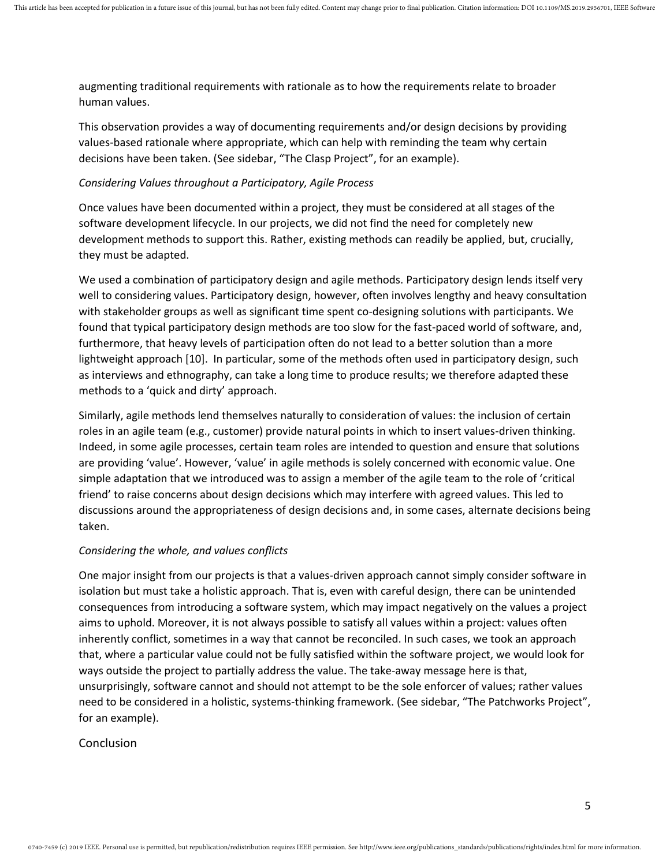augmenting traditional requirements with rationale as to how the requirements relate to broader human values.

This observation provides a way of documenting requirements and/or design decisions by providing values-based rationale where appropriate, which can help with reminding the team why certain decisions have been taken. (See sidebar, "The Clasp Project", for an example).

#### *Considering Values throughout a Participatory, Agile Process*

Once values have been documented within a project, they must be considered at all stages of the software development lifecycle. In our projects, we did not find the need for completely new development methods to support this. Rather, existing methods can readily be applied, but, crucially, they must be adapted.

We used a combination of participatory design and agile methods. Participatory design lends itself very well to considering values. Participatory design, however, often involves lengthy and heavy consultation with stakeholder groups as well as significant time spent co-designing solutions with participants. We found that typical participatory design methods are too slow for the fast-paced world of software, and, furthermore, that heavy levels of participation often do not lead to a better solution than a more lightweight approach [10]. In particular, some of the methods often used in participatory design, such as interviews and ethnography, can take a long time to produce results; we therefore adapted these methods to a 'quick and dirty' approach.

Similarly, agile methods lend themselves naturally to consideration of values: the inclusion of certain roles in an agile team (e.g., customer) provide natural points in which to insert values-driven thinking. Indeed, in some agile processes, certain team roles are intended to question and ensure that solutions are providing 'value'. However, 'value' in agile methods is solely concerned with economic value. One simple adaptation that we introduced was to assign a member of the agile team to the role of 'critical friend' to raise concerns about design decisions which may interfere with agreed values. This led to discussions around the appropriateness of design decisions and, in some cases, alternate decisions being taken.

# *Considering the whole, and values conflicts*

One major insight from our projects is that a values-driven approach cannot simply consider software in isolation but must take a holistic approach. That is, even with careful design, there can be unintended consequences from introducing a software system, which may impact negatively on the values a project aims to uphold. Moreover, it is not always possible to satisfy all values within a project: values often inherently conflict, sometimes in a way that cannot be reconciled. In such cases, we took an approach that, where a particular value could not be fully satisfied within the software project, we would look for ways outside the project to partially address the value. The take-away message here is that, unsurprisingly, software cannot and should not attempt to be the sole enforcer of values; rather values need to be considered in a holistic, systems-thinking framework. (See sidebar, "The Patchworks Project", for an example).

# Conclusion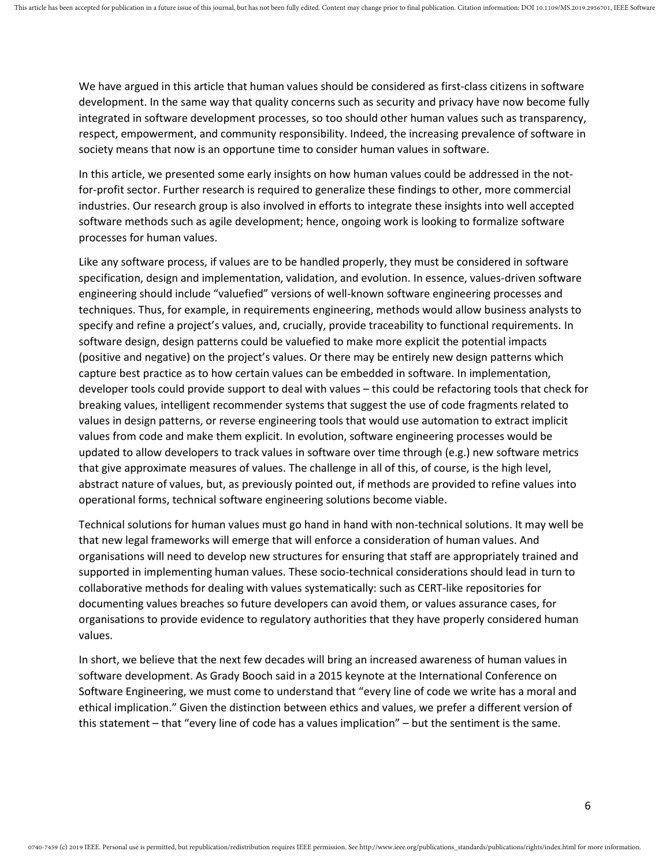We have argued in this article that human values should be considered as first-class citizens in software development. In the same way that quality concerns such as security and privacy have now become fully integrated in software development processes, so too should other human values such as transparency, respect, empowerment, and community responsibility. Indeed, the increasing prevalence of software in society means that now is an opportune time to consider human values in software.

In this article, we presented some early insights on how human values could be addressed in the notfor-profit sector. Further research is required to generalize these findings to other, more commercial industries. Our research group is also involved in efforts to integrate these insights into well accepted software methods such as agile development; hence, ongoing work is looking to formalize software processes for human values.

Like any software process, if values are to be handled properly, they must be considered in software specification, design and implementation, validation, and evolution. In essence, values-driven software engineering should include "valuefied" versions of well-known software engineering processes and techniques. Thus, for example, in requirements engineering, methods would allow business analysts to specify and refine a project's values, and, crucially, provide traceability to functional requirements. In software design, design patterns could be valuefied to make more explicit the potential impacts (positive and negative) on the project's values. Or there may be entirely new design patterns which capture best practice as to how certain values can be embedded in software. In implementation, developer tools could provide support to deal with values – this could be refactoring tools that check for breaking values, intelligent recommender systems that suggest the use of code fragments related to values in design patterns, or reverse engineering tools that would use automation to extract implicit values from code and make them explicit. In evolution, software engineering processes would be updated to allow developers to track values in software over time through (e.g.) new software metrics that give approximate measures of values. The challenge in all of this, of course, is the high level, abstract nature of values, but, as previously pointed out, if methods are provided to refine values into operational forms, technical software engineering solutions become viable.

Technical solutions for human values must go hand in hand with non-technical solutions. It may well be that new legal frameworks will emerge that will enforce a consideration of human values. And organisations will need to develop new structures for ensuring that staff are appropriately trained and supported in implementing human values. These socio-technical considerations should lead in turn to collaborative methods for dealing with values systematically: such as CERT-like repositories for documenting values breaches so future developers can avoid them, or values assurance cases, for organisations to provide evidence to regulatory authorities that they have properly considered human values.

In short, we believe that the next few decades will bring an increased awareness of human values in software development. As Grady Booch said in a 2015 keynote at the International Conference on Software Engineering, we must come to understand that "every line of code we write has a moral and ethical implication." Given the distinction between ethics and values, we prefer a different version of this statement – that "every line of code has a values implication" – but the sentiment is the same.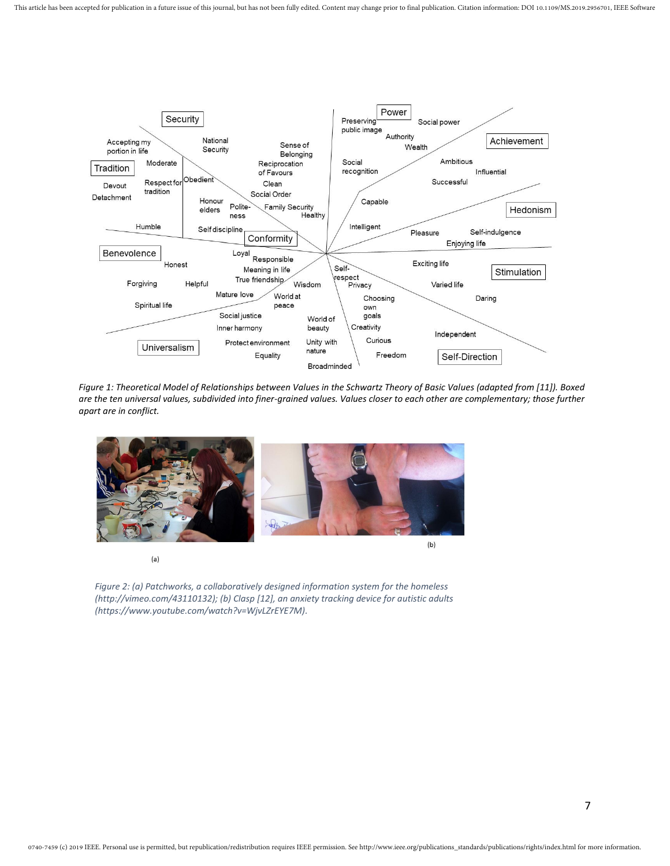

*Figure 1: Theoretical Model of Relationships between Values in the Schwartz Theory of Basic Values (adapted from [11]). Boxed are the ten universal values, subdivided into finer-grained values. Values closer to each other are complementary; those further apart are in conflict.*



 $(a)$ 

*Figure 2: (a) Patchworks, a collaboratively designed information system for the homeless (http://vimeo.com/43110132); (b) Clasp [12], an anxiety tracking device for autistic adults (https://www.youtube.com/watch?v=WjvLZrEYE7M).*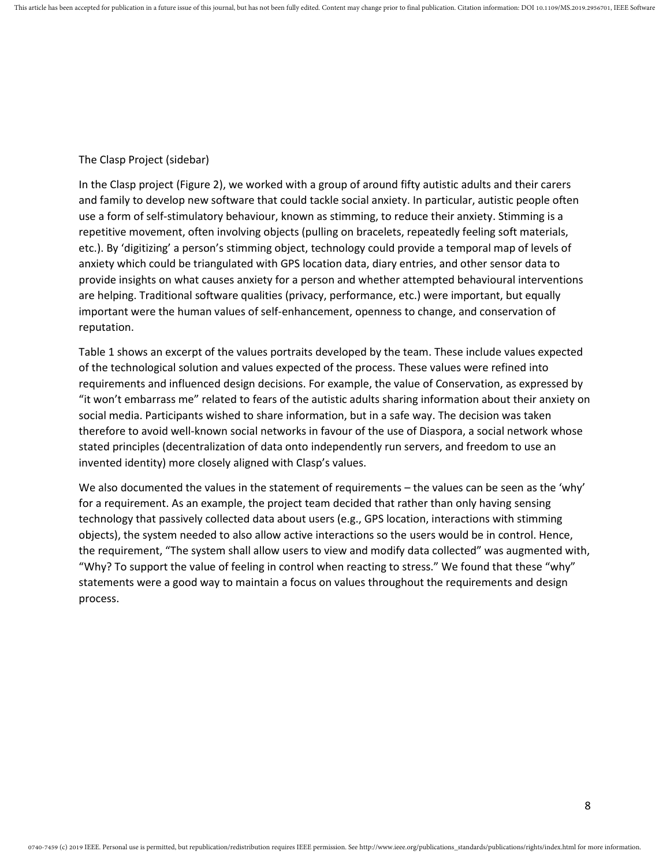#### The Clasp Project (sidebar)

In the Clasp project (Figure 2), we worked with a group of around fifty autistic adults and their carers and family to develop new software that could tackle social anxiety. In particular, autistic people often use a form of self-stimulatory behaviour, known as stimming, to reduce their anxiety. Stimming is a repetitive movement, often involving objects (pulling on bracelets, repeatedly feeling soft materials, etc.). By 'digitizing' a person's stimming object, technology could provide a temporal map of levels of anxiety which could be triangulated with GPS location data, diary entries, and other sensor data to provide insights on what causes anxiety for a person and whether attempted behavioural interventions are helping. Traditional software qualities (privacy, performance, etc.) were important, but equally important were the human values of self-enhancement, openness to change, and conservation of reputation.

Table 1 shows an excerpt of the values portraits developed by the team. These include values expected of the technological solution and values expected of the process. These values were refined into requirements and influenced design decisions. For example, the value of Conservation, as expressed by "it won't embarrass me" related to fears of the autistic adults sharing information about their anxiety on social media. Participants wished to share information, but in a safe way. The decision was taken therefore to avoid well-known social networks in favour of the use of Diaspora, a social network whose stated principles (decentralization of data onto independently run servers, and freedom to use an invented identity) more closely aligned with Clasp's values.

We also documented the values in the statement of requirements – the values can be seen as the 'why' for a requirement. As an example, the project team decided that rather than only having sensing technology that passively collected data about users (e.g., GPS location, interactions with stimming objects), the system needed to also allow active interactions so the users would be in control. Hence, the requirement, "The system shall allow users to view and modify data collected" was augmented with, "Why? To support the value of feeling in control when reacting to stress." We found that these "why" statements were a good way to maintain a focus on values throughout the requirements and design process.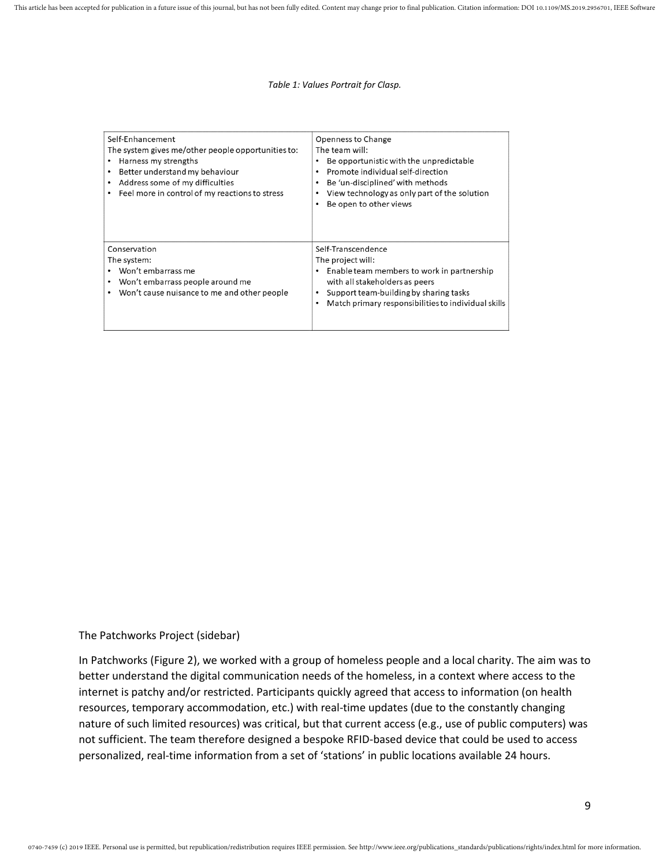#### *Table 1: Values Portrait for Clasp.*

| Self-Enhancement<br>The system gives me/other people opportunities to:<br>Harness my strengths<br>Better understand my behaviour<br>Address some of my difficulties<br>Feel more in control of my reactions to stress | Openness to Change<br>The team will:<br>Be opportunistic with the unpredictable<br>Promote individual self-direction<br>Be 'un-disciplined' with methods<br>View technology as only part of the solution<br>Be open to other views |
|-----------------------------------------------------------------------------------------------------------------------------------------------------------------------------------------------------------------------|------------------------------------------------------------------------------------------------------------------------------------------------------------------------------------------------------------------------------------|
| Conservation<br>The system:<br>Won't embarrass me<br>Won't embarrass people around me<br>Won't cause nuisance to me and other people                                                                                  | Self-Transcendence<br>The project will:<br>Enable team members to work in partnership<br>with all stakeholders as peers<br>Support team-building by sharing tasks<br>Match primary responsibilities to individual skills           |

#### The Patchworks Project (sidebar)

In Patchworks (Figure 2), we worked with a group of homeless people and a local charity. The aim was to better understand the digital communication needs of the homeless, in a context where access to the internet is patchy and/or restricted. Participants quickly agreed that access to information (on health resources, temporary accommodation, etc.) with real-time updates (due to the constantly changing nature of such limited resources) was critical, but that current access (e.g., use of public computers) was not sufficient. The team therefore designed a bespoke RFID-based device that could be used to access personalized, real-time information from a set of 'stations' in public locations available 24 hours.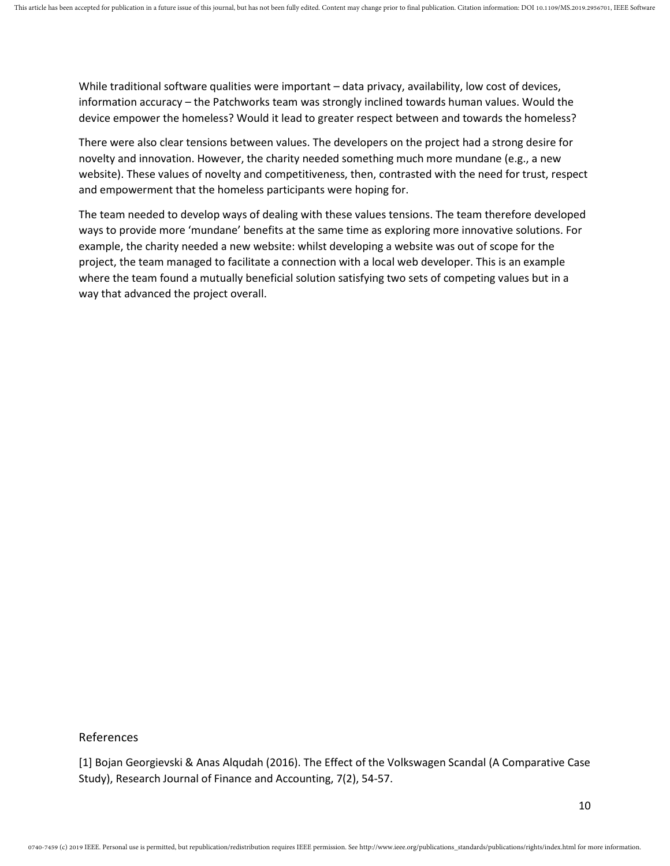While traditional software qualities were important – data privacy, availability, low cost of devices, information accuracy – the Patchworks team was strongly inclined towards human values. Would the device empower the homeless? Would it lead to greater respect between and towards the homeless?

There were also clear tensions between values. The developers on the project had a strong desire for novelty and innovation. However, the charity needed something much more mundane (e.g., a new website). These values of novelty and competitiveness, then, contrasted with the need for trust, respect and empowerment that the homeless participants were hoping for.

The team needed to develop ways of dealing with these values tensions. The team therefore developed ways to provide more 'mundane' benefits at the same time as exploring more innovative solutions. For example, the charity needed a new website: whilst developing a website was out of scope for the project, the team managed to facilitate a connection with a local web developer. This is an example where the team found a mutually beneficial solution satisfying two sets of competing values but in a way that advanced the project overall.

References

[1] Bojan Georgievski & Anas Alqudah (2016). The Effect of the Volkswagen Scandal (A Comparative Case Study), Research Journal of Finance and Accounting, 7(2), 54-57.